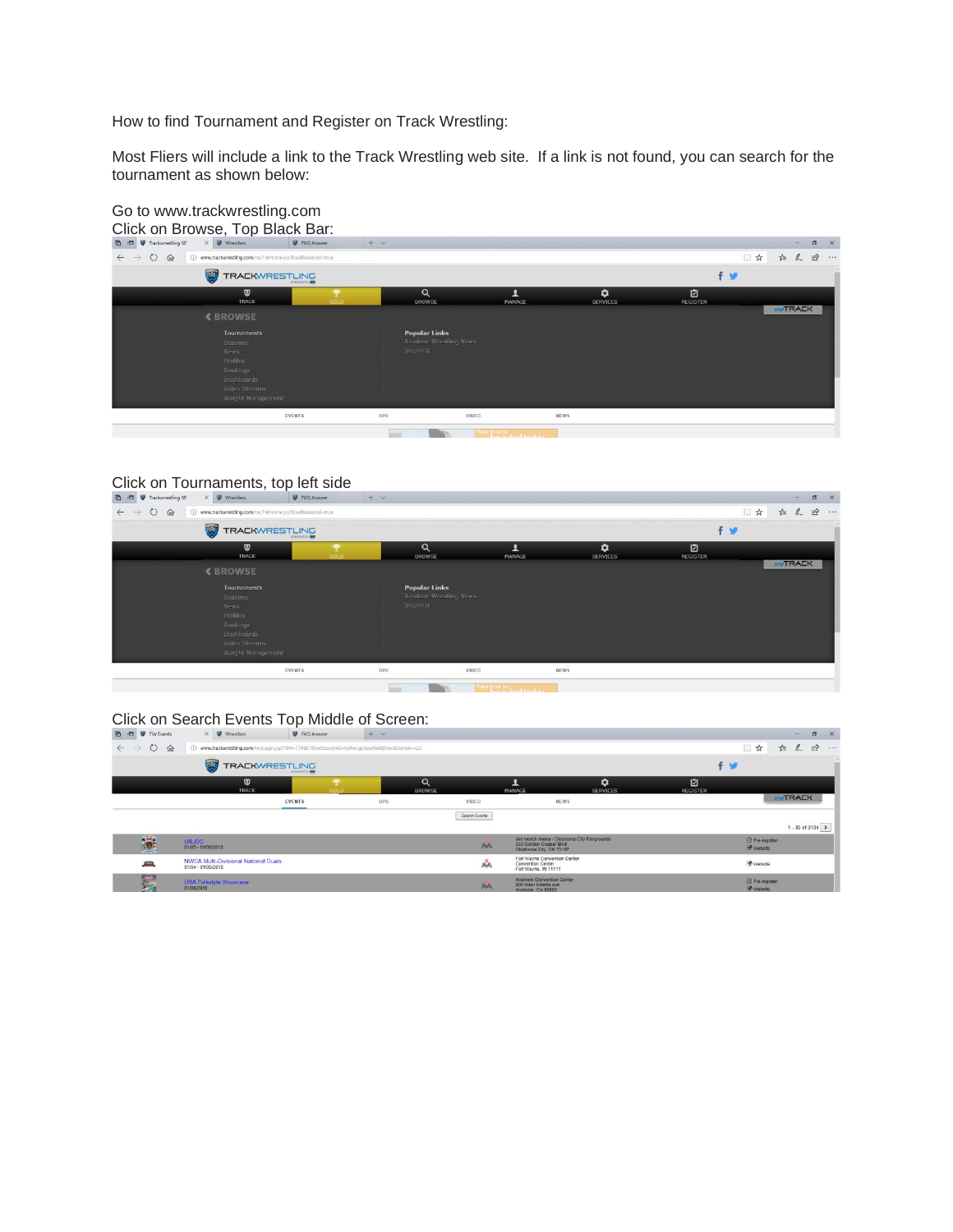How to find Tournament and Register on Track Wrestling:

Most Fliers will include a link to the Track Wrestling web site. If a link is not found, you can search for the tournament as shown below:



## Go to www.trackwrestling.com

## Click on Tournaments, top left side

| $\times$ <i>W</i> wrestlers<br><b>■ ■ ● Trackwrestling SE</b> | <b>W</b> FAQ Answer                                                                                        | $+$ $\times$ |                                                            |                   |                              |                      | $\times$<br>$\sigma$<br>$\frac{1}{2}$ |
|---------------------------------------------------------------|------------------------------------------------------------------------------------------------------------|--------------|------------------------------------------------------------|-------------------|------------------------------|----------------------|---------------------------------------|
| $\circ$<br>命<br>$\leftarrow$ $\rightarrow$                    | 4 www.trackwrestling.com/tw/TWHome.jsp?loadBalanced=true                                                   |              |                                                            |                   |                              | □☆                   | $\vec{P}$<br>2<br>☆≡<br>1.1.4         |
| $\mathbf{u}$                                                  | <b>TRACKWRESTLING</b>                                                                                      |              |                                                            |                   |                              | $f \times$           |                                       |
|                                                               | $\boldsymbol{\sigma}$<br><b>TRACK</b>                                                                      | 雴<br>GOLD    | Q<br><b>BROWSE</b>                                         | ٠<br>MANAGE       | $\bullet$<br><b>SERVICES</b> | 回<br><b>REGISTER</b> |                                       |
| <b><browse< b=""></browse<></b>                               |                                                                                                            |              |                                                            |                   |                              |                      | <b>myTRACK</b>                        |
|                                                               | Tournaments<br>Seasons<br>News<br>Profiles<br>Rankings<br>Dashboards<br>Video Streams<br>Weight Management |              | <b>Popular Links</b><br>Amateur Wrestling News<br>Intermat |                   |                              |                      |                                       |
|                                                               | <b>EVENTS</b>                                                                                              | OPC          |                                                            | VIDEO             | <b>NEWS</b>                  |                      |                                       |
|                                                               |                                                                                                            | mm           |                                                            | <b>As provide</b> |                              |                      |                                       |

## Click on Search Events Top Middle of Screen:

| 晒<br>中<br><b>W</b> TW Events         | $\times$ $\blacksquare$ Wrestlers                                 | FAQ Answer                                                                                 | $+$ $\times$              |               |                                                                                                   |                      |                      |                                   | $=$            | $\Box$           | $\times$ |
|--------------------------------------|-------------------------------------------------------------------|--------------------------------------------------------------------------------------------|---------------------------|---------------|---------------------------------------------------------------------------------------------------|----------------------|----------------------|-----------------------------------|----------------|------------------|----------|
| ⋒<br>$\leftarrow$ $\rightarrow$<br>O | $\Omega$                                                          | www.trackwrestling.com/tw/Login.jsp?TIM=7798878ttwSessionid=kylhnrgphzwthxt8dromDomain=0.0 |                           |               |                                                                                                   |                      |                      | ■☆                                | *≡<br>theme.   | $\vec{B}$        | $-0.17$  |
|                                      | $\overline{\mathbf{w}}$<br><b>TRACKWRESTLING</b>                  | <b>Different for New</b>                                                                   |                           |               |                                                                                                   |                      |                      | f W                               |                |                  | . .      |
|                                      | ឃ<br><b>TRACK</b>                                                 | GOLD                                                                                       | $\alpha$<br><b>BROWSE</b> |               | <b>MANAGE</b>                                                                                     | ٠<br><b>SERVICES</b> | 囪<br><b>REGISTER</b> |                                   |                |                  |          |
|                                      |                                                                   | <b>EVENTS</b>                                                                              | OPC                       | VIDEO         | <b>NEWS</b>                                                                                       |                      |                      |                                   | <b>myTRACK</b> |                  |          |
|                                      |                                                                   |                                                                                            |                           | Search Events |                                                                                                   |                      |                      |                                   |                |                  |          |
|                                      |                                                                   |                                                                                            |                           |               |                                                                                                   |                      |                      |                                   |                | 1 - 30 of 3104 > |          |
| to:                                  | <b>USJOC</b><br>01/05 - 01/06/2018                                |                                                                                            |                           | AA            | Jim Norick Arena - Oklahoma City Fairgrounds<br>333 Gordon Cooper Blvd<br>Oklahoma City, OK 73107 |                      |                      | El Pre-register<br><b>Website</b> |                |                  |          |
| <b>Alling</b>                        | <b>NWCA Multi-Divisional National Duals</b><br>01/04 - 01/05/2018 |                                                                                            |                           | AA            | Fort Wayne Convention Center<br>Convention Center<br>Fort Wayne, IN 11111                         |                      |                      | <b>O</b> Website                  |                |                  |          |
| <b>British</b><br><b>V</b> V         | <b>USA Folkstyle Showcase</b><br>01/05/2018                       |                                                                                            |                           | AA            | Anahiem Convention Center<br>800 West Katella Ave<br>Anaheim, CA 92802                            |                      |                      | Pre-register<br><b>Website</b>    |                |                  |          |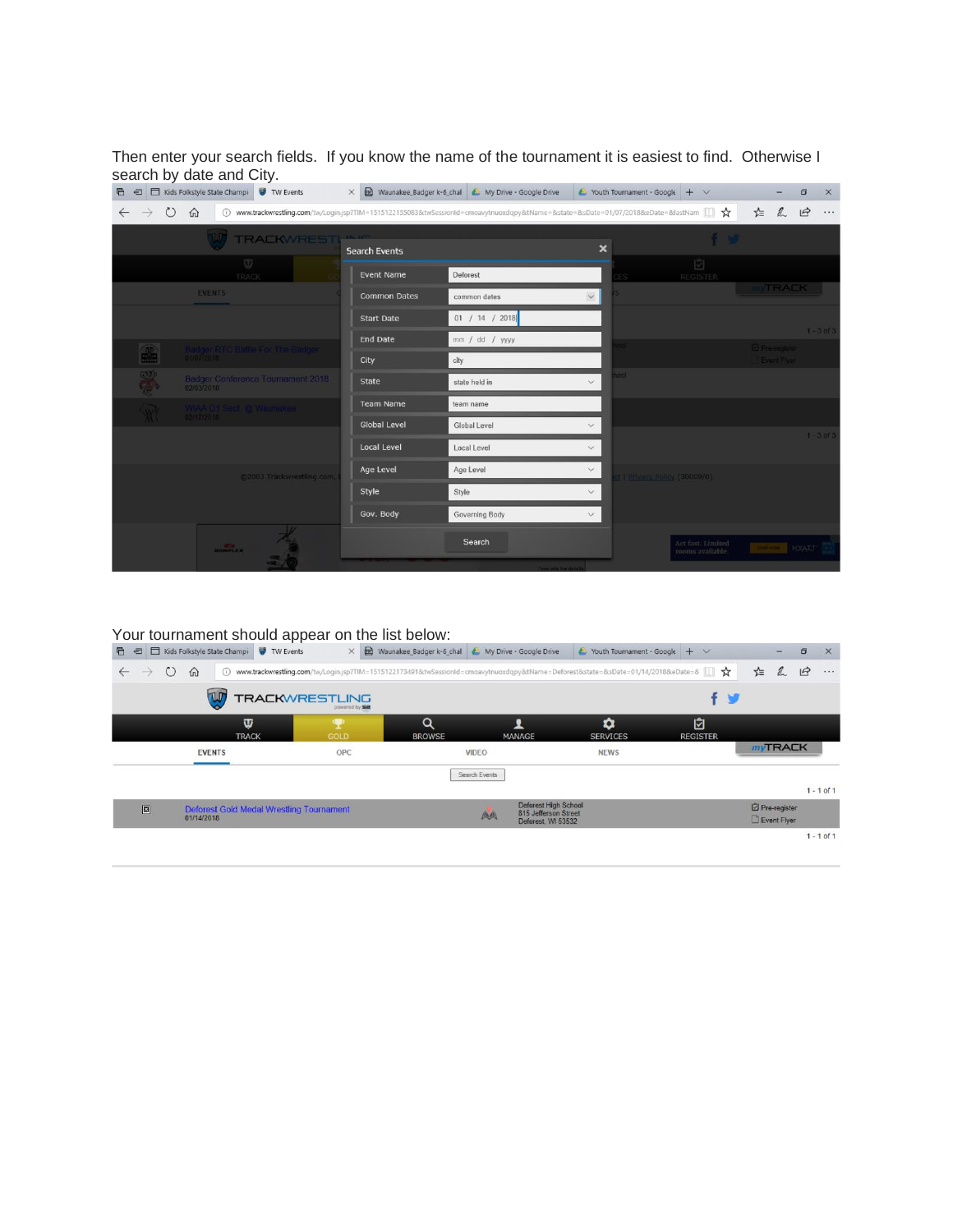Then enter your search fields. If you know the name of the tournament it is easiest to find. Otherwise I search by date and City.

|                                               | 中 HD   Kids Folkstyle State Champi V TW Events  |                      | X [66] Waunakee_Badger k-6_chal   My Drive - Google Drive                                                                       |                           | $\sim$ Youth Tournament - Google $+ \vee$ |                                       |                       | o                                    | $\times$       |
|-----------------------------------------------|-------------------------------------------------|----------------------|---------------------------------------------------------------------------------------------------------------------------------|---------------------------|-------------------------------------------|---------------------------------------|-----------------------|--------------------------------------|----------------|
| $\circ$                                       | $\Omega$<br>$\odot$                             |                      | www.trackwrestling.com/tw/Login.jsp?TIM=1515122155083&twSessionId=cmoavytnuoxdqpy&tName=&state=&sDate=01/07/2018&eDate=&lastNam |                           |                                           |                                       | ☆                     | $\overrightarrow{P}$<br>$\mathbb{Z}$ |                |
|                                               | <b>TRACKWREST</b>                               | <b>Search Events</b> |                                                                                                                                 | $\boldsymbol{\mathsf{x}}$ |                                           |                                       |                       |                                      |                |
|                                               | $\overline{U}$<br>TRACK                         | <b>Event Name</b>    | Deforest                                                                                                                        |                           |                                           | ☑<br>REGISTER                         |                       |                                      |                |
|                                               | <b>EVENTS</b>                                   | <b>Common Dates</b>  | common dates                                                                                                                    | $\checkmark$              |                                           |                                       |                       | <b>INTRACK</b>                       |                |
|                                               |                                                 | <b>Start Date</b>    | 01 / 14 / 2018                                                                                                                  |                           |                                           |                                       |                       |                                      |                |
|                                               |                                                 | <b>End Date</b>      | mm / dd / yyyy                                                                                                                  |                           |                                           |                                       | <b>Z</b> Pre-register |                                      | $1 - 3$ of $3$ |
| 編                                             | Badger RTC Battle For The Badger                | City                 | city                                                                                                                            |                           |                                           |                                       | Event Flyer           |                                      |                |
| $\sum_{i=1}^{n}$<br>$C_{\alpha}$ , $\beta$ is | Badger Conference Tournament 2018<br>02/03/2018 | <b>State</b>         | state held in                                                                                                                   | $\checkmark$              | hool                                      |                                       |                       |                                      |                |
| <b>Carl</b>                                   | WIAA D1 Sect. @ Waunakee                        | <b>Team Name</b>     | team name                                                                                                                       |                           |                                           |                                       |                       |                                      |                |
|                                               | 02/17/2018                                      | <b>Global Level</b>  | Global Level                                                                                                                    | $\checkmark$              |                                           |                                       |                       |                                      | $1 - 3$ of $3$ |
|                                               |                                                 | <b>Local Level</b>   | Local Level                                                                                                                     | $\vee$                    |                                           |                                       |                       |                                      |                |
|                                               | @2003 Trackwrestling.com,                       | Age Level            | Age Level                                                                                                                       | $\checkmark$              | ct   Privacy Policy (30009/0)             |                                       |                       |                                      |                |
|                                               |                                                 | Style                | Style                                                                                                                           | $\checkmark$              |                                           |                                       |                       |                                      |                |
|                                               |                                                 | Gov. Body            | Governing Body                                                                                                                  | $\vee$                    |                                           |                                       |                       |                                      |                |
|                                               | <b>BOWFLEX</b>                                  |                      | Search                                                                                                                          |                           |                                           | Act fast, Limited<br>rooms available. |                       | <b>SACRA HEATH</b>                   |                |
|                                               |                                                 |                      | "see site for details                                                                                                           |                           |                                           |                                       |                       |                                      |                |

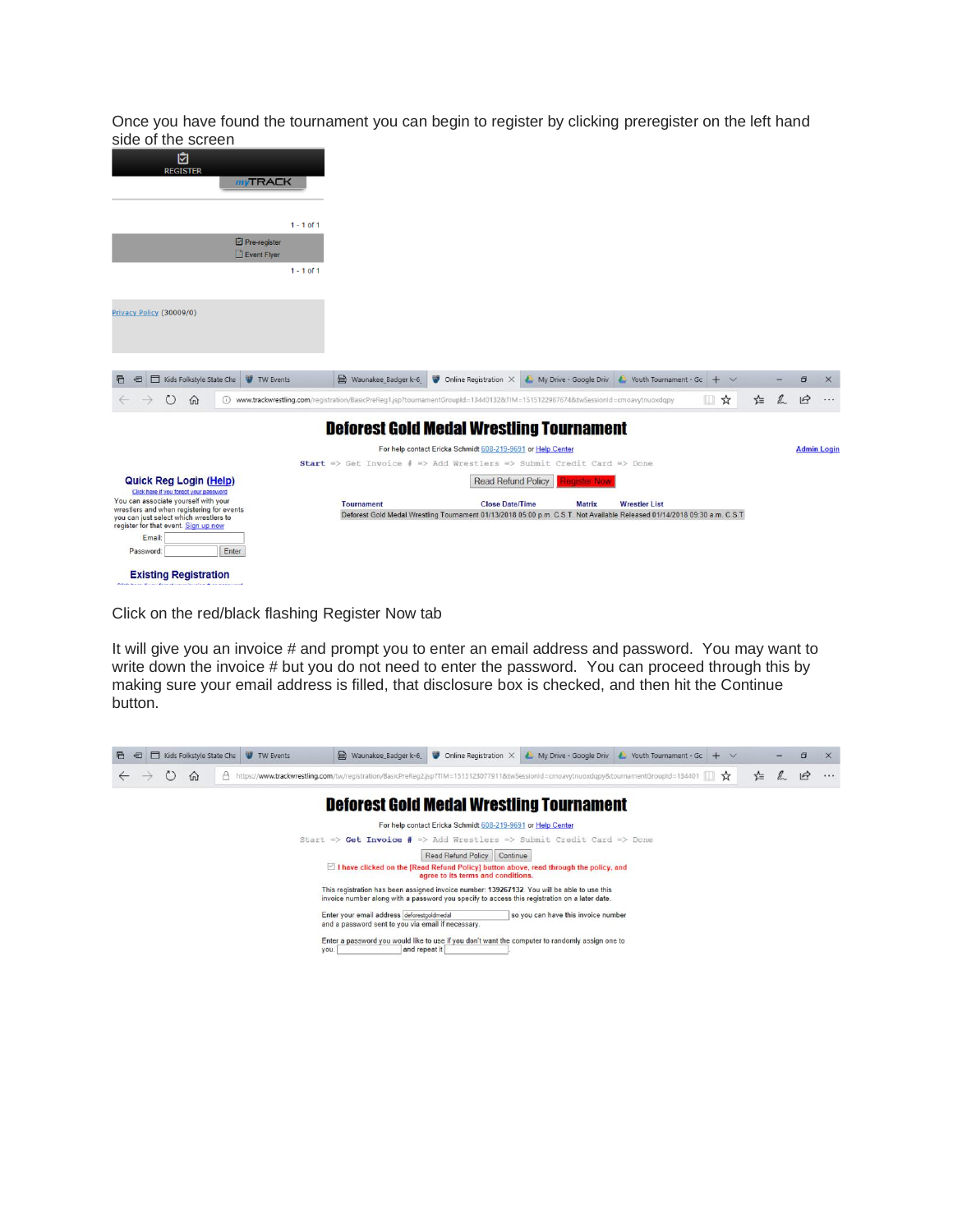Once you have found the tournament you can begin to register by clicking preregister on the left hand side of the screen

| יוטטוטט טו גווט טטוט                                                              |                             |              |                   |                                                                                                                               |                     |                                                |               |   |              |           |                    |
|-----------------------------------------------------------------------------------|-----------------------------|--------------|-------------------|-------------------------------------------------------------------------------------------------------------------------------|---------------------|------------------------------------------------|---------------|---|--------------|-----------|--------------------|
| 囟<br><b>REGISTER</b>                                                              |                             |              |                   |                                                                                                                               |                     |                                                |               |   |              |           |                    |
|                                                                                   | <b>myTRACK</b>              |              |                   |                                                                                                                               |                     |                                                |               |   |              |           |                    |
|                                                                                   |                             |              |                   |                                                                                                                               |                     |                                                |               |   |              |           |                    |
|                                                                                   |                             | $1 - 1$ of 1 |                   |                                                                                                                               |                     |                                                |               |   |              |           |                    |
|                                                                                   | Pre-register<br>Event Flyer |              |                   |                                                                                                                               |                     |                                                |               |   |              |           |                    |
|                                                                                   |                             | $1 - 1$ of 1 |                   |                                                                                                                               |                     |                                                |               |   |              |           |                    |
| Privacy Policy (30009/0)                                                          |                             |              |                   |                                                                                                                               |                     |                                                |               |   |              |           |                    |
|                                                                                   |                             |              |                   |                                                                                                                               |                     |                                                |               |   |              |           |                    |
|                                                                                   |                             |              |                   |                                                                                                                               |                     |                                                |               |   |              |           |                    |
| Kids Folkstyle State Cha<br>归<br>后                                                | <b>W</b> TW Events          |              |                   | $\Box$ Waunakee Badger k-6 $\Box$ Online Registration $\times$                                                                |                     | My Drive - Google Driv C Youth Tournament - Gc | $+$<br>$\vee$ |   |              | $\Box$    | $\times$           |
| $\circ$<br>$\Omega$                                                               |                             |              |                   | www.trackwrestling.com/registration/BasicPreReg1.jsp?tournamentGroupId=13440132&TIM=1515122987674&twSessionId=cmoavytnuoxdqpy |                     |                                                | ■☆            | ☆ | $\mathbb{Z}$ | $\vec{P}$ | $\cdots$           |
|                                                                                   |                             |              |                   | <b>Deforest Gold Medal Wrestling Tournament</b>                                                                               |                     |                                                |               |   |              |           |                    |
|                                                                                   |                             |              |                   | For help contact Ericka Schmidt 608-219-9691 or Help Center                                                                   |                     |                                                |               |   |              |           | <b>Admin Login</b> |
|                                                                                   |                             |              |                   | Start => Get Invoice $\frac{2}{7}$ => Add Wrestlers => Submit Credit Card => Done                                             |                     |                                                |               |   |              |           |                    |
| <b>Quick Reg Login (Help)</b><br>Click here if you forgot your password           |                             |              |                   | <b>Read Refund Policy</b>                                                                                                     | <b>Register Now</b> |                                                |               |   |              |           |                    |
| You can associate yourself with your<br>wrestlers and when registering for events |                             |              | <b>Tournament</b> | <b>Close Date/Time</b>                                                                                                        | <b>Matrix</b>       | <b>Wrestler List</b>                           |               |   |              |           |                    |
| you can just select which wrestlers to<br>register for that event. Sign up now    |                             |              |                   | Deforest Gold Medal Wrestling Tournament 01/13/2018 05:00 p.m. C.S.T. Not Available Released 01/14/2018 09:30 a.m. C.S.T      |                     |                                                |               |   |              |           |                    |
| Email:                                                                            |                             |              |                   |                                                                                                                               |                     |                                                |               |   |              |           |                    |
| Password:                                                                         | Enter                       |              |                   |                                                                                                                               |                     |                                                |               |   |              |           |                    |
| <b>Existing Registration</b>                                                      |                             |              |                   |                                                                                                                               |                     |                                                |               |   |              |           |                    |

Click on the red/black flashing Register Now tab

It will give you an invoice # and prompt you to enter an email address and password. You may want to write down the invoice # but you do not need to enter the password. You can proceed through this by making sure your email address is filled, that disclosure box is checked, and then hit the Continue button.

| Kids Folkstyle State Cha<br><b>W</b> TW Events<br>后<br>匵 | waunakee Badger k-6                                                                                                                                                                          | Online Registration X<br>w                                  | My Drive - Google Driv                                       | Youth Tournament - Gc | $\vee$<br>÷   |     | $\times$      |
|----------------------------------------------------------|----------------------------------------------------------------------------------------------------------------------------------------------------------------------------------------------|-------------------------------------------------------------|--------------------------------------------------------------|-----------------------|---------------|-----|---------------|
| 价                                                        | https://www.trackwrestling.com/tw/registration/BasicPreReq2.jsp?TIM=1515123077911&twSessionId=cmoavytnuoxdgpy&tournamentGroupId=134401                                                       |                                                             |                                                              |                       | $\frac{1}{2}$ | τ'Ξ | $\varphi$<br> |
|                                                          | <b>Deforest Gold Medal Wrestling Tournament</b>                                                                                                                                              |                                                             |                                                              |                       |               |     |               |
|                                                          |                                                                                                                                                                                              | For help contact Ericka Schmidt 608-219-9691 or Help Center |                                                              |                       |               |     |               |
| $Start$ =>                                               |                                                                                                                                                                                              |                                                             | Get Invoice # => Add Wrestlers => Submit Credit Card => Done |                       |               |     |               |
|                                                          |                                                                                                                                                                                              | <b>Read Refund Policy</b><br>Continue                       |                                                              |                       |               |     |               |
|                                                          | $\leq$ 1 have clicked on the [Read Refund Policy] button above, read through the policy, and                                                                                                 | agree to its terms and conditions.                          |                                                              |                       |               |     |               |
|                                                          | This registration has been assigned invoice number: 139267132. You will be able to use this<br>invoice number along with a password you specify to access this registration on a later date. |                                                             |                                                              |                       |               |     |               |
|                                                          | Enter your email address deforestgoldmedal<br>and a password sent to you via email if necessary.                                                                                             |                                                             | so you can have this invoice number                          |                       |               |     |               |
| you.                                                     | Enter a password you would like to use if you don't want the computer to randomly assign one to<br>and repeat it                                                                             |                                                             |                                                              |                       |               |     |               |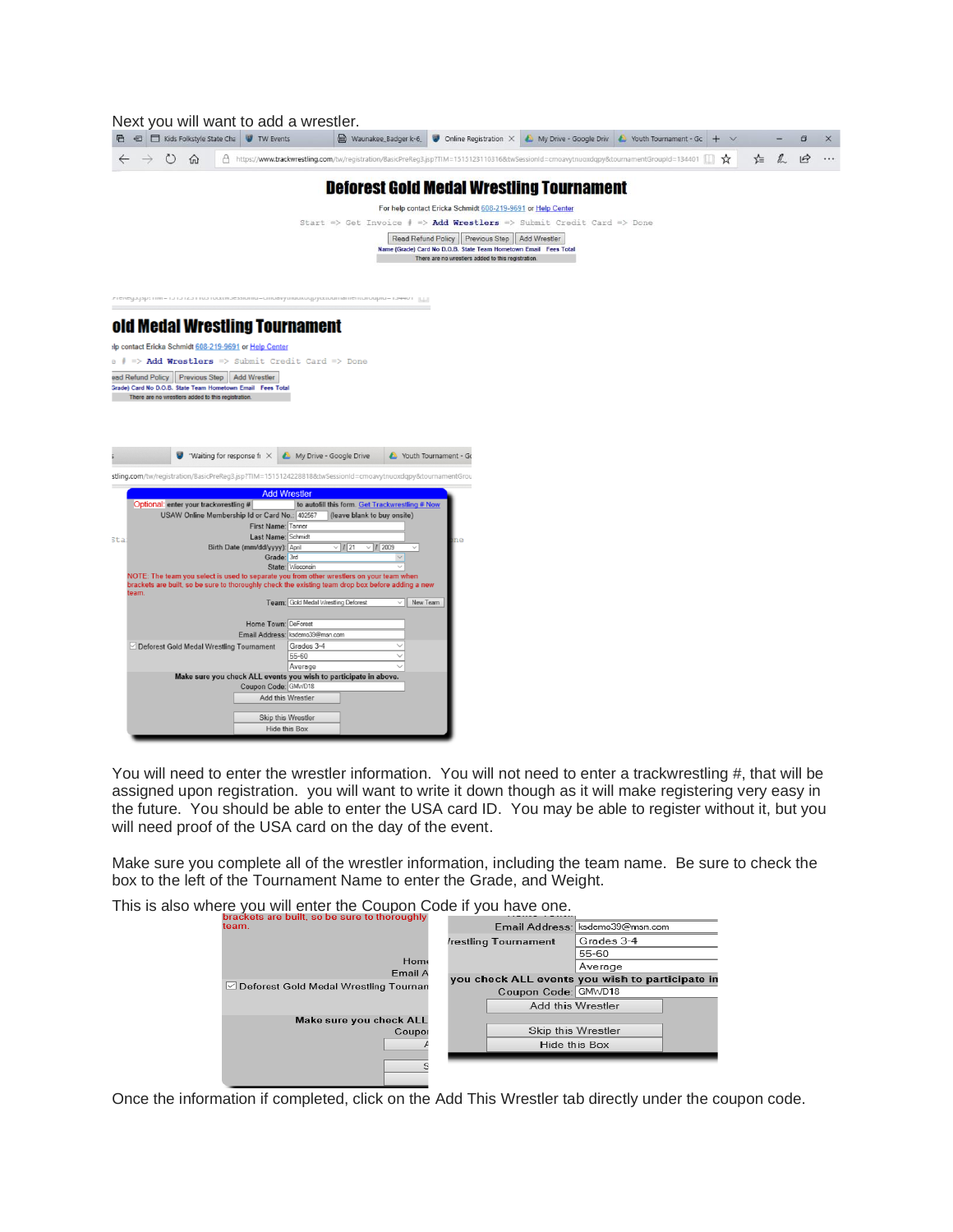| Next you will want to add a wrestler.                                                                                                                                                     |
|-------------------------------------------------------------------------------------------------------------------------------------------------------------------------------------------|
| ■ 日 I Kids Folkstyle State Cha V TW Events<br>Waunakee Badger k-6 W Online Registration X & My Drive - Google Driv & Youth Tournament - Gc + V                                            |
| $\mathbb{Z}$<br>A https://www.trackwrestling.com/tw/registration/BasicPreReg3.jsp?TIM=1515123110316&twSessionId=cmoavytnuoxdqpy&tournamentGroupId=134401   →<br>≿≣<br>$\circ$<br>$\Omega$ |
| <b>Deforest Gold Medal Wrestling Tournament</b>                                                                                                                                           |
|                                                                                                                                                                                           |
| For help contact Ericka Schmidt 608-219-9691 or Help Center                                                                                                                               |
| Start => Get Invoice $\frac{4}{7}$ => Add Wrestlers => Submit Credit Card => Done                                                                                                         |
| Read Refund Policy Previous Step Add Wrestler                                                                                                                                             |
| Name (Grade) Card No D.O.B. State Team Hometown Email Fees Total<br>There are no wrestlers added to this registration.                                                                    |
|                                                                                                                                                                                           |
|                                                                                                                                                                                           |
| ון דו א <del>ייני</del> ט – טווין אייטויסוויזאוויזאוויזאוויזאוויס אייטוויזע אייטויס פאטוויס אייטו ויסטויז אויז אייטויז אייט                                                               |
| old Medal Wrestling Tournament                                                                                                                                                            |
|                                                                                                                                                                                           |
| Ip contact Ericka Schmidt 608-219-9691 or Help Center                                                                                                                                     |
| $\circ$ $\neq$ $\Rightarrow$ Add Wrestlers => Submit Credit Card => Done                                                                                                                  |
| ead Refund Policy   Previous Step   Add Wrestler<br>Grade) Card No D.O.B. State Team Hometown Email Fees Total                                                                            |
| There are no wrestlers added to this registration.                                                                                                                                        |
|                                                                                                                                                                                           |
|                                                                                                                                                                                           |
|                                                                                                                                                                                           |
|                                                                                                                                                                                           |
| <b>W</b> "Waiting for response fi $\times$<br>Youth Tournament - Go<br>My Drive - Google Drive                                                                                            |
| stling.com/tw/registration/BasicPreReg3.jsp?TIM=15151242288188ttwSessionId=cmoavytnuoxdqpy8ttournamentGrou                                                                                |
|                                                                                                                                                                                           |
| <b>Add Wrestler</b>                                                                                                                                                                       |
| to autofill this form. Get Trackwrestling # Now<br>Optional: enter your trackwrestling #<br>USAW Online Membership Id or Card No.: 402567<br>(leave blank to buy onsite)                  |
| First Name: Tanner                                                                                                                                                                        |
| Last Name: Schmidt<br>Sta:                                                                                                                                                                |
| Birth Date (mm/dd/yyyy): April<br>$\vee$ 121<br>$\vee$ / 2009<br>$\sim$                                                                                                                   |
| Grade: 3rd<br>State: Wisconsin                                                                                                                                                            |
| NOTE: The team you select is used to separate you from other wrestlers on your team when                                                                                                  |
| brackets are built, so be sure to thoroughly check the existing team drop box before adding a new                                                                                         |
| team<br>Team: Gold Medal Wrestling Deforest<br>New Team                                                                                                                                   |
|                                                                                                                                                                                           |
| Home Town: DeForest                                                                                                                                                                       |
| Email Address: ksdemo39@msn.com                                                                                                                                                           |
| Deforest Gold Medal Wrestling Tournament<br>Grades 3-4<br>$\checkmark$                                                                                                                    |
| 55-60<br>Average                                                                                                                                                                          |
| Make sure you check ALL events you wish to participate in above.                                                                                                                          |
| Coupon Code: GMWD18                                                                                                                                                                       |
| Add this Wrestler                                                                                                                                                                         |
|                                                                                                                                                                                           |
| Skip this Wrestler<br>Hide this Box                                                                                                                                                       |
|                                                                                                                                                                                           |

You will need to enter the wrestler information. You will not need to enter a trackwrestling #, that will be assigned upon registration. you will want to write it down though as it will make registering very easy in the future. You should be able to enter the USA card ID. You may be able to register without it, but you will need proof of the USA card on the day of the event.

Make sure you complete all of the wrestler information, including the team name. Be sure to check the box to the left of the Tournament Name to enter the Grade, and Weight.

This is also where you will enter the Coupon Code if you have one.

| brackets are built, so be sure to thoroughly |                                                 |
|----------------------------------------------|-------------------------------------------------|
| team.                                        | Email Address: ksdemo39@msn.com                 |
|                                              | Grades 3-4<br>restling Tournament               |
|                                              | 55-60                                           |
| Home<br>Email A                              | Average                                         |
| ○ Deforest Gold Medal Wrestling Tournam      | you check ALL events you wish to participate in |
|                                              | Coupon Code: GMWD18                             |
|                                              | Add this Wrestler                               |
| Make sure you check ALL                      |                                                 |
| Coupor                                       | Skip this Wrestler                              |
|                                              | Hide this Box                                   |
|                                              |                                                 |
|                                              |                                                 |

Once the information if completed, click on the Add This Wrestler tab directly under the coupon code.